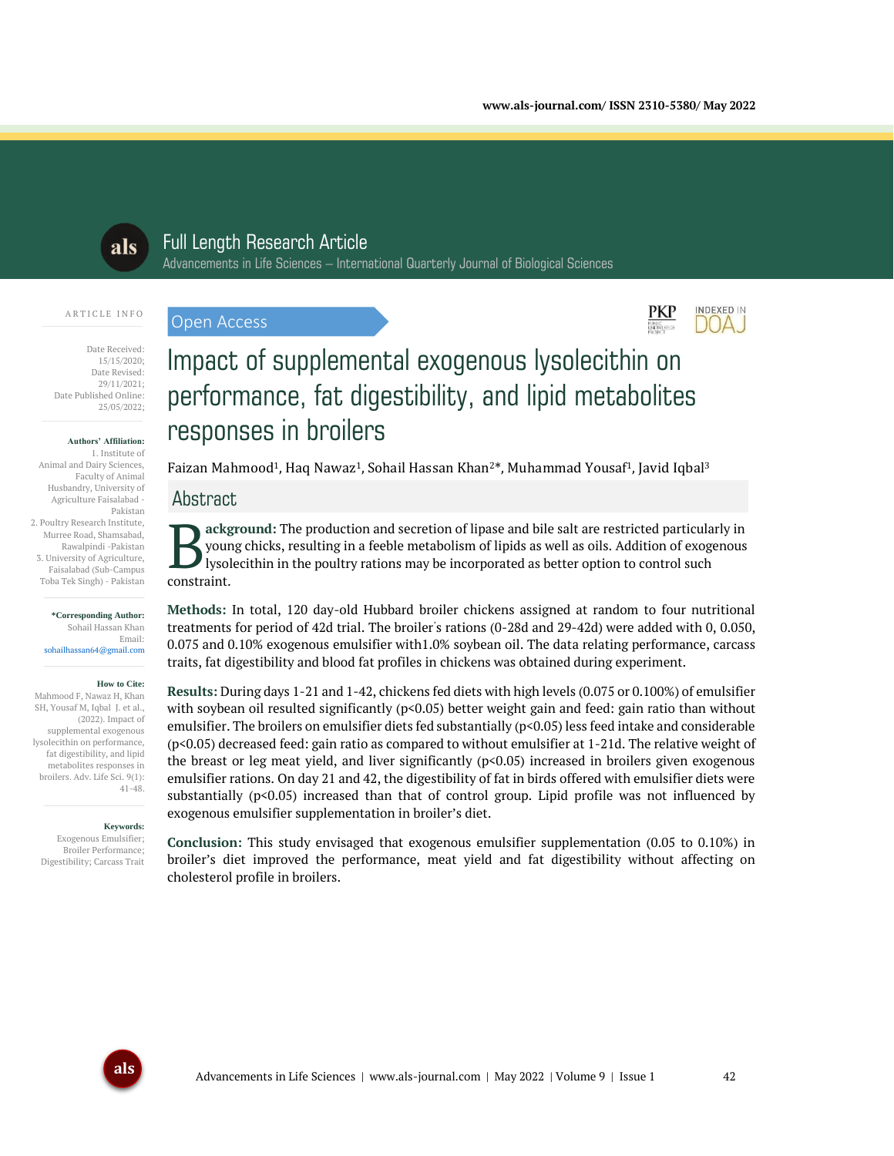INDEXED IN DOA J



# Full Length Research Article

Advancements in Life Sciences – International Quarterly Journal of Biological Sciences

#### ARTICLE INFO

Date Received: 15/15/2020; Date Revised: 29/11/2021; Date Published Online: 25/05/2022;

#### **Authors' Affiliation:**

1. Institute of Animal and Dairy Sciences, Faculty of Animal Husbandry, University of Agriculture Faisalabad - Pakistan 2. Poultry Research Institute, Murree Road, Shamsabad, Rawalpindi -Pakistan 3. University of Agriculture, Faisalabad (Sub-Campus Toba Tek Singh) - Pakistan

#### **\*Corresponding Author:** Sohail Hassan Khan Email: sohailhassan64@gmail.com

#### **How to Cite:**

Mahmood F, Nawaz H, Khan SH, Yousaf M, Iqbal J. et al., (2022). Impact of supplemental exogenous lysolecithin on performance, fat digestibility, and lipid metabolites responses in broilers. Adv. Life Sci. 9(1): 41-48.

#### **Keywords:**

Exogenous Emulsifier; Broiler Performance; Digestibility; Carcass Trait

# Impact of supplemental exogenous lysolecithin on performance, fat digestibility, and lipid metabolites responses in broilers

Faizan Mahmood<sup>1</sup>, Haq Nawaz<sup>1</sup>, Sohail Hassan Khan<sup>2\*</sup>, Muhammad Yousaf<sup>1</sup>, Javid Iqbal<sup>3</sup>

# Abstract

Open Access

**ackground:** The production and secretion of lipase and bile salt are restricted particularly in young chicks, resulting in a feeble metabolism of lipids as well as oils. Addition of exogenous lysolecithin in the poultry rations may be incorporated as better option to control such Byour<br>
lysol<br>
constraint.

**Methods:** In total, 120 day-old Hubbard broiler chickens assigned at random to four nutritional treatments for period of 42d trial. The broiler' s rations (0-28d and 29-42d) were added with 0, 0.050, 0.075 and 0.10% exogenous emulsifier with1.0% soybean oil. The data relating performance, carcass traits, fat digestibility and blood fat profiles in chickens was obtained during experiment.

**Results:** During days 1-21 and 1-42, chickens fed diets with high levels (0.075 or 0.100%) of emulsifier with soybean oil resulted significantly ( $p<0.05$ ) better weight gain and feed: gain ratio than without emulsifier. The broilers on emulsifier diets fed substantially (p<0.05) less feed intake and considerable (p<0.05) decreased feed: gain ratio as compared to without emulsifier at 1-21d. The relative weight of the breast or leg meat yield, and liver significantly  $(p<0.05)$  increased in broilers given exogenous emulsifier rations. On day 21 and 42, the digestibility of fat in birds offered with emulsifier diets were substantially  $(p<0.05)$  increased than that of control group. Lipid profile was not influenced by exogenous emulsifier supplementation in broiler's diet.

**Conclusion:** This study envisaged that exogenous emulsifier supplementation (0.05 to 0.10%) in broiler's diet improved the performance, meat yield and fat digestibility without affecting on cholesterol profile in broilers.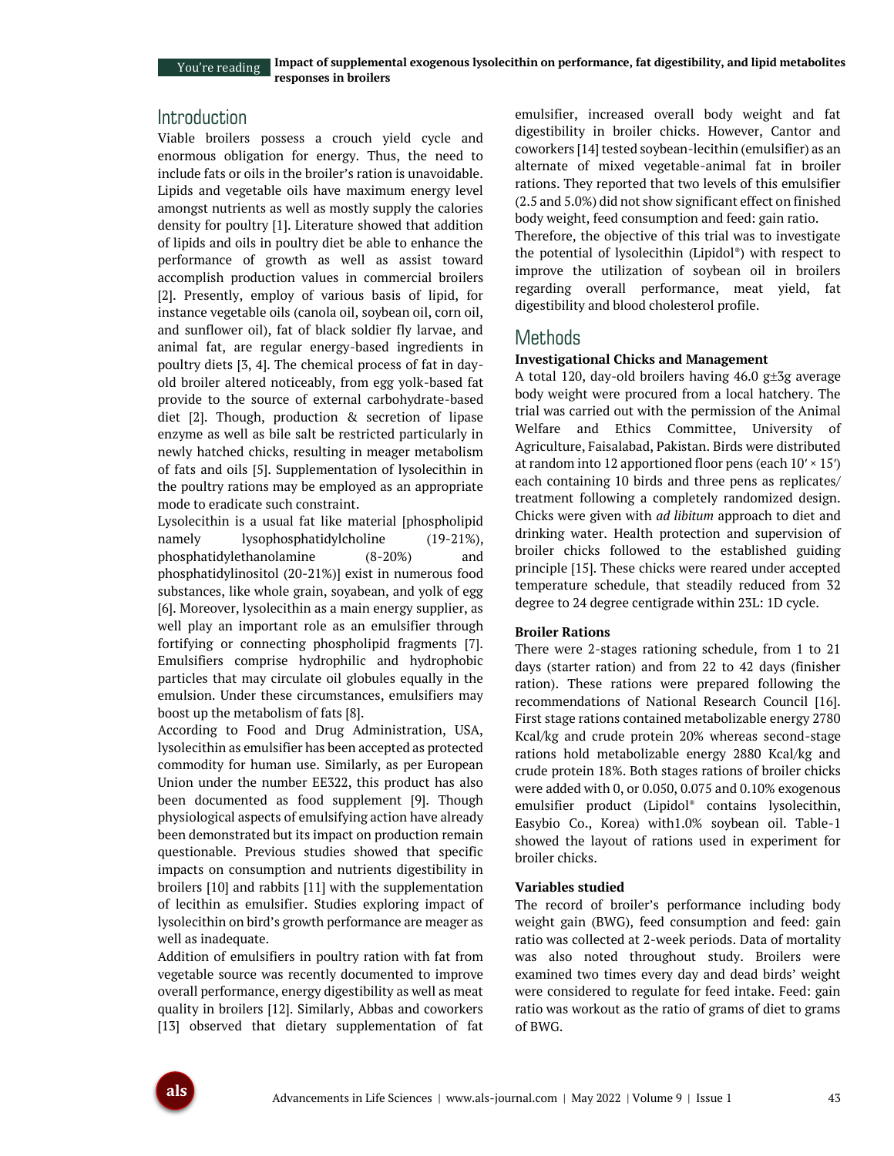You're reading

## Introduction

Viable broilers possess a crouch yield cycle and enormous obligation for energy. Thus, the need to include fats or oils in the broiler's ration is unavoidable. Lipids and vegetable oils have maximum energy level amongst nutrients as well as mostly supply the calories density for poultry [1]. Literature showed that addition of lipids and oils in poultry diet be able to enhance the performance of growth as well as assist toward accomplish production values in commercial broilers [2]. Presently, employ of various basis of lipid, for instance vegetable oils (canola oil, soybean oil, corn oil, and sunflower oil), fat of black soldier fly larvae, and animal fat, are regular energy-based ingredients in poultry diets [3, 4]. The chemical process of fat in dayold broiler altered noticeably, from egg yolk-based fat provide to the source of external carbohydrate-based diet [2]. Though, production & secretion of lipase enzyme as well as bile salt be restricted particularly in newly hatched chicks, resulting in meager metabolism of fats and oils [5]. Supplementation of lysolecithin in the poultry rations may be employed as an appropriate mode to eradicate such constraint.

Lysolecithin is a usual fat like material [phospholipid namely lysophosphatidylcholine (19-21%), phosphatidylethanolamine (8-20%) and phosphatidylinositol (20-21%)] exist in numerous food substances, like whole grain, soyabean, and yolk of egg [6]. Moreover, lysolecithin as a main energy supplier, as well play an important role as an emulsifier through fortifying or connecting phospholipid fragments [7]. Emulsifiers comprise hydrophilic and hydrophobic particles that may circulate oil globules equally in the emulsion. Under these circumstances, emulsifiers may boost up the metabolism of fats [8].

According to Food and Drug Administration, USA, lysolecithin as emulsifier has been accepted as protected commodity for human use. Similarly, as per European Union under the number EE322, this product has also been documented as food supplement [9]. Though physiological aspects of emulsifying action have already been demonstrated but its impact on production remain questionable. Previous studies showed that specific impacts on consumption and nutrients digestibility in broilers [10] and rabbits [11] with the supplementation of lecithin as emulsifier. Studies exploring impact of lysolecithin on bird's growth performance are meager as well as inadequate.

Addition of emulsifiers in poultry ration with fat from vegetable source was recently documented to improve overall performance, energy digestibility as well as meat quality in broilers [12]. Similarly, Abbas and coworkers [13] observed that dietary supplementation of fat emulsifier, increased overall body weight and fat digestibility in broiler chicks. However, Cantor and coworkers [14] tested soybean-lecithin (emulsifier) as an alternate of mixed vegetable-animal fat in broiler rations. They reported that two levels of this emulsifier (2.5 and 5.0%) did not show significant effect on finished body weight, feed consumption and feed: gain ratio.

Therefore, the objective of this trial was to investigate the potential of lysolecithin (Lipidol® ) with respect to improve the utilization of soybean oil in broilers regarding overall performance, meat yield, fat digestibility and blood cholesterol profile.

## Methods

## **Investigational Chicks and Management**

A total 120, day-old broilers having  $46.0$  g $\pm 3$ g average body weight were procured from a local hatchery. The trial was carried out with the permission of the Animal Welfare and Ethics Committee, University of Agriculture, Faisalabad, Pakistan. Birds were distributed at random into 12 apportioned floor pens (each  $10' \times 15'$ ) each containing 10 birds and three pens as replicates/ treatment following a completely randomized design. Chicks were given with *ad libitum* approach to diet and drinking water. Health protection and supervision of broiler chicks followed to the established guiding principle [15]. These chicks were reared under accepted temperature schedule, that steadily reduced from 32 degree to 24 degree centigrade within 23L: 1D cycle.

## **Broiler Rations**

There were 2-stages rationing schedule, from 1 to 21 days (starter ration) and from 22 to 42 days (finisher ration). These rations were prepared following the recommendations of National Research Council [16]. First stage rations contained metabolizable energy 2780 Kcal/kg and crude protein 20% whereas second-stage rations hold metabolizable energy 2880 Kcal/kg and crude protein 18%. Both stages rations of broiler chicks were added with 0, or 0.050, 0.075 and 0.10% exogenous emulsifier product (Lipidol® contains lysolecithin, Easybio Co., Korea) with1.0% soybean oil. Table-1 showed the layout of rations used in experiment for broiler chicks.

## **Variables studied**

The record of broiler's performance including body weight gain (BWG), feed consumption and feed: gain ratio was collected at 2-week periods. Data of mortality was also noted throughout study. Broilers were examined two times every day and dead birds' weight were considered to regulate for feed intake. Feed: gain ratio was workout as the ratio of grams of diet to grams of BWG.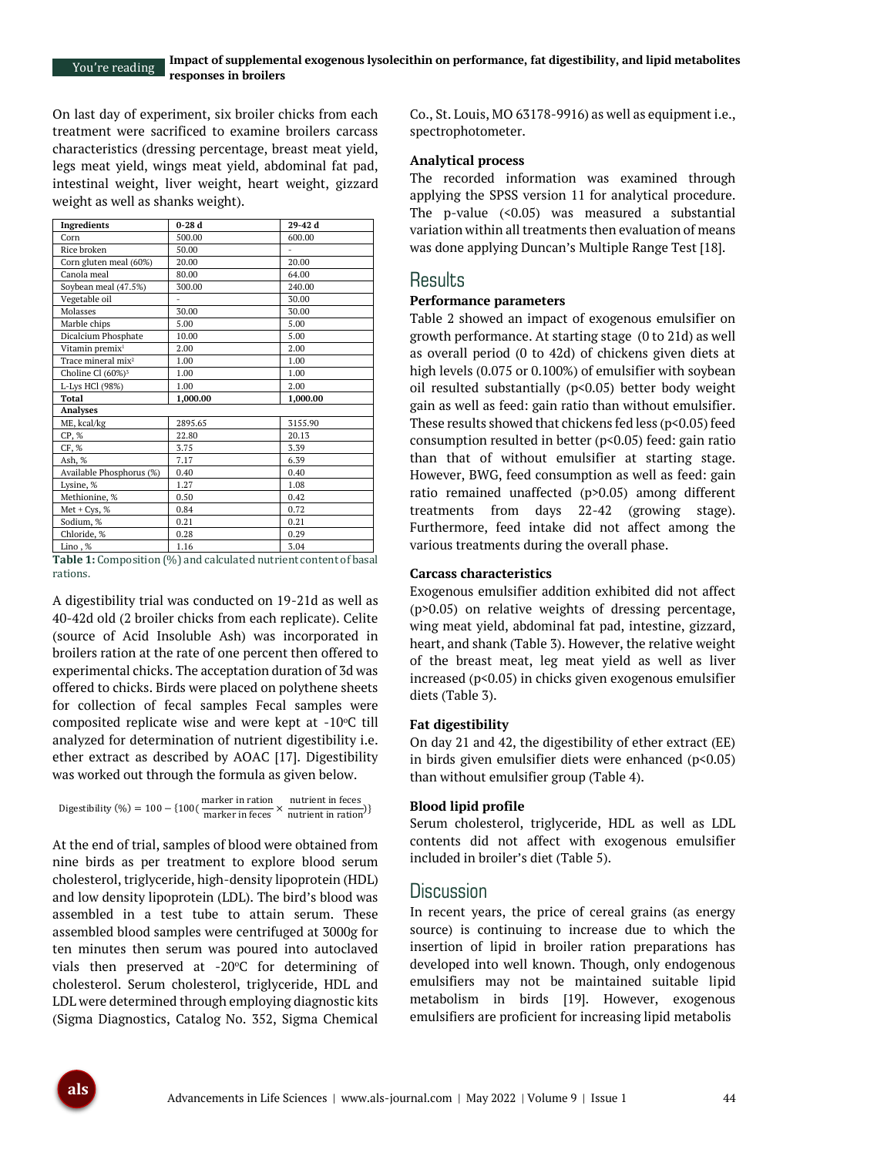On last day of experiment, six broiler chicks from each treatment were sacrificed to examine broilers carcass characteristics (dressing percentage, breast meat yield, legs meat yield, wings meat yield, abdominal fat pad, intestinal weight, liver weight, heart weight, gizzard weight as well as shanks weight).

| <b>Ingredients</b>             | $0-28d$  | 29-42 d  |
|--------------------------------|----------|----------|
| Corn                           | 500.00   | 600.00   |
| Rice broken                    | 50.00    |          |
| Corn gluten meal (60%)         | 20.00    | 20.00    |
| Canola meal                    | 80.00    | 64.00    |
| Soybean meal (47.5%)           | 300.00   | 240.00   |
| Vegetable oil                  |          | 30.00    |
| Molasses                       | 30.00    | 30.00    |
| Marble chips                   | 5.00     | 5.00     |
| Dicalcium Phosphate            | 10.00    | 5.00     |
| Vitamin premix <sup>1</sup>    | 2.00     | 2.00     |
| Trace mineral mix <sup>2</sup> | 1.00     | 1.00     |
| Choline Cl (60%) <sup>3</sup>  | 1.00     | 1.00     |
| L-Lys HCl (98%)                | 1.00     | 2.00     |
| Total                          | 1.000.00 | 1.000.00 |
| Analyses                       |          |          |
| ME, kcal/kg                    | 2895.65  | 3155.90  |
| CP, %                          | 22.80    | 20.13    |
| CF, %                          | 3.75     | 3.39     |
| Ash, %                         | 7.17     | 6.39     |
| Available Phosphorus (%)       | 0.40     | 0.40     |
| Lysine, %                      | 1.27     | 1.08     |
| Methionine, %                  | 0.50     | 0.42     |
| Met + $Cys$ , %                | 0.84     | 0.72     |
| Sodium, %                      | 0.21     | 0.21     |
| Chloride, %                    | 0.28     | 0.29     |
| Lino, %                        | 1.16     | 3.04     |

**Table 1:** Composition (%) and calculated nutrient content of basal rations.

A digestibility trial was conducted on 19-21d as well as 40-42d old (2 broiler chicks from each replicate). Celite (source of Acid Insoluble Ash) was incorporated in broilers ration at the rate of one percent then offered to experimental chicks. The acceptation duration of 3d was offered to chicks. Birds were placed on polythene sheets for collection of fecal samples Fecal samples were composited replicate wise and were kept at  $-10^{\circ}$ C till analyzed for determination of nutrient digestibility i.e. ether extract as described by AOAC [17]. Digestibility was worked out through the formula as given below.

Digestibility (%) =  $100 - {100}(\frac{\text{marker in ratio}}{\text{marker in feces}} \times \frac{\text{nutrient in feces}}{\text{nutrient in ratio}})$ nutrient in ration<sup>)</sup>}

At the end of trial, samples of blood were obtained from nine birds as per treatment to explore blood serum cholesterol, triglyceride, high-density lipoprotein (HDL) and low density lipoprotein (LDL). The bird's blood was assembled in a test tube to attain serum. These assembled blood samples were centrifuged at 3000g for ten minutes then serum was poured into autoclaved vials then preserved at  $-20^{\circ}$ C for determining of cholesterol. Serum cholesterol, triglyceride, HDL and LDL were determined through employing diagnostic kits (Sigma Diagnostics, Catalog No. 352, Sigma Chemical

Co., St. Louis, MO 63178-9916) as well as equipment i.e., spectrophotometer.

#### **Analytical process**

The recorded information was examined through applying the SPSS version 11 for analytical procedure. The p-value  $(0.05)$  was measured a substantial variation within all treatments then evaluation of means was done applying Duncan's Multiple Range Test [18].

## **Results**

### **Performance parameters**

Table 2 showed an impact of exogenous emulsifier on growth performance. At starting stage (0 to 21d) as well as overall period (0 to 42d) of chickens given diets at high levels (0.075 or 0.100%) of emulsifier with soybean oil resulted substantially  $(p<0.05)$  better body weight gain as well as feed: gain ratio than without emulsifier. These results showed that chickens fed less ( $p$ <0.05) feed consumption resulted in better (p<0.05) feed: gain ratio than that of without emulsifier at starting stage. However, BWG, feed consumption as well as feed: gain ratio remained unaffected (p>0.05) among different treatments from days 22-42 (growing stage). Furthermore, feed intake did not affect among the various treatments during the overall phase.

#### **Carcass characteristics**

Exogenous emulsifier addition exhibited did not affect (p>0.05) on relative weights of dressing percentage, wing meat yield, abdominal fat pad, intestine, gizzard, heart, and shank (Table 3). However, the relative weight of the breast meat, leg meat yield as well as liver increased (p<0.05) in chicks given exogenous emulsifier diets (Table 3).

#### **Fat digestibility**

On day 21 and 42, the digestibility of ether extract (EE) in birds given emulsifier diets were enhanced (p<0.05) than without emulsifier group (Table 4).

#### **Blood lipid profile**

Serum cholesterol, triglyceride, HDL as well as LDL contents did not affect with exogenous emulsifier included in broiler's diet (Table 5).

## **Discussion**

In recent years, the price of cereal grains (as energy source) is continuing to increase due to which the insertion of lipid in broiler ration preparations has developed into well known. Though, only endogenous emulsifiers may not be maintained suitable lipid metabolism in birds [19]. However, exogenous emulsifiers are proficient for increasing lipid metabolis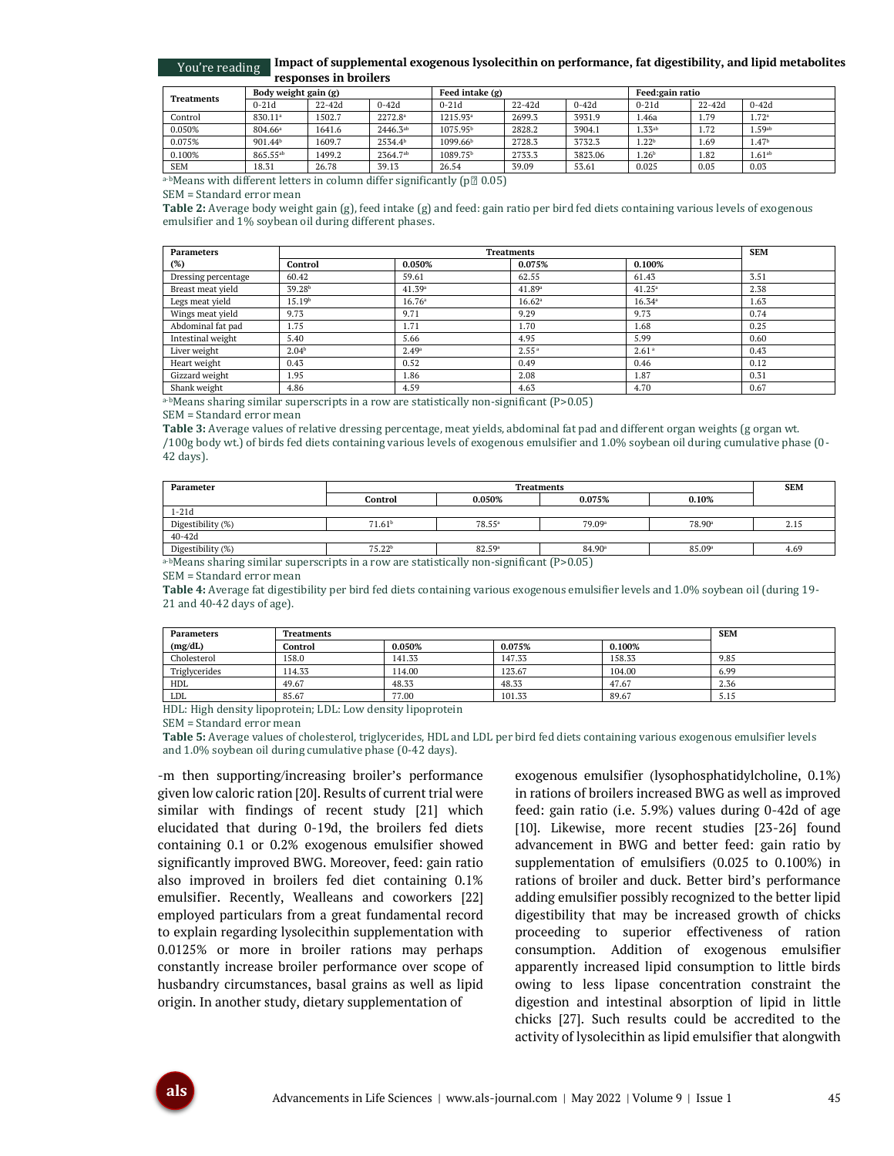#### **Impact of supplemental exogenous lysolecithin on performance, fat digestibility, and lipid metabolites responses in broilers** You're reading

|                   | Body weight gain (g)  |         |                     | Feed intake (g)      |         |         | <b>Feed:gain ratio</b> |       |                      |
|-------------------|-----------------------|---------|---------------------|----------------------|---------|---------|------------------------|-------|----------------------|
| <b>Treatments</b> | $0-21d$<br>$22 - 42d$ | $0-42d$ | $0 - 21d$           | $22 - 42d$           | $0-42d$ | $0-21d$ | $22 - 42d$             | 0-42d |                      |
| Control           | 830.11 <sup>a</sup>   | 1502.7  | $2272.8^{\circ}$    | 1215.93 <sup>a</sup> | 2699.3  | 3931.9  | 1.46a                  | 1.79  | 1.72 <sup>a</sup>    |
| 0.050%            | 804.66 <sup>a</sup>   | 1641.6  | $2446.3^{ab}$       | 1075.95 <sup>b</sup> | 2828.2  | 3904.1  | $1.33^{ab}$            | 1.72  | $1.59$ <sup>ab</sup> |
| 0.075%            | 901.44 <sup>b</sup>   | 1609.7  | 2534.4 <sup>b</sup> | 1099.66 <sup>b</sup> | 2728.3  | 3732.3  | 1.22 <sup>b</sup>      | 1.69  | 1.47 <sup>b</sup>    |
| 0.100%            | 865.55 <sup>ab</sup>  | 1499.2  | 2364.7ab            | 1089.75 <sup>b</sup> | 2733.3  | 3823.06 | 1.26 <sup>b</sup>      | 1.82  | $1.61^{ab}$          |
| <b>SEM</b>        | 18.31                 | 26.78   | 39.13               | 26.54                | 39.09   | 53.61   | 0.025                  | 0.05  | 0.03                 |

a-bMeans with different letters in column differ significantly ( $p \, \text{m}$  0.05)

SEM = Standard error mean

**Table 2:** Average body weight gain (g), feed intake (g) and feed: gain ratio per bird fed diets containing various levels of exogenous emulsifier and 1% soybean oil during different phases.

| <b>Parameters</b>   |                    | <b>SEM</b>         |                    |                   |      |
|---------------------|--------------------|--------------------|--------------------|-------------------|------|
| (%)                 | Control            | 0.050%             | 0.075%             | 0.100%            |      |
| Dressing percentage | 60.42              | 59.61              | 62.55              | 61.43             | 3.51 |
| Breast meat yield   | 39.28 <sup>b</sup> | 41.39 <sup>a</sup> | 41.89ª             | $41.25^a$         | 2.38 |
| Legs meat yield     | 15.19 <sup>b</sup> | 16.76 <sup>a</sup> | 16.62 <sup>a</sup> | 16.34a            | 1.63 |
| Wings meat yield    | 9.73               | 9.71               | 9.29               | 9.73              | 0.74 |
| Abdominal fat pad   | 1.75               | 1.71               | 1.70               | 1.68              | 0.25 |
| Intestinal weight   | 5.40               | 5.66               | 4.95               | 5.99              | 0.60 |
| Liver weight        | 2.04 <sup>b</sup>  | 2.49a              | 2.55 <sup>a</sup>  | 2.61 <sup>a</sup> | 0.43 |
| Heart weight        | 0.43               | 0.52               | 0.49               | 0.46              | 0.12 |
| Gizzard weight      | 1.95               | 1.86               | 2.08               | 1.87              | 0.31 |
| Shank weight        | 4.86               | 4.59               | 4.63               | 4.70              | 0.67 |

a-bMeans sharing similar superscripts in a row are statistically non-significant (P>0.05)

#### SEM = Standard error mean

**Table 3:** Average values of relative dressing percentage, meat yields, abdominal fat pad and different organ weights (g organ wt. /100g body wt.) of birds fed diets containing various levels of exogenous emulsifier and 1.0% soybean oil during cumulative phase (0- 42 days).

| Parameter                                                                                     |                    | <b>SEM</b>      |                    |                    |      |  |  |  |
|-----------------------------------------------------------------------------------------------|--------------------|-----------------|--------------------|--------------------|------|--|--|--|
|                                                                                               | Control            | 0.050%          | 0.075%             | 0.10%              |      |  |  |  |
| $1-21d$                                                                                       |                    |                 |                    |                    |      |  |  |  |
| Digestibility (%)                                                                             | 71.61 <sup>b</sup> | $78.55^{\circ}$ | 79.09 <sup>a</sup> | 78.90 <sup>a</sup> | 2.15 |  |  |  |
| $40 - 42d$                                                                                    |                    |                 |                    |                    |      |  |  |  |
| Digestibility (%)                                                                             | 75.22 <sup>b</sup> | 82.59ª          | 84.90 <sup>a</sup> | 85.09 <sup>a</sup> | 4.69 |  |  |  |
| $-1.9$<br>$\sim$ $\sim$<br>$\sim$<br>$\sim$ $\sim$ $\sim$ $\sim$ $\sim$ $\sim$<br>$\sim$<br>. |                    |                 |                    |                    |      |  |  |  |

a-bMeans sharing similar superscripts in a row are statistically non-significant (P>0.05)

SEM = Standard error mean

**Table 4:** Average fat digestibility per bird fed diets containing various exogenous emulsifier levels and 1.0% soybean oil (during 19- 21 and 40-42 days of age).

| <b>Parameters</b> | <b>Treatments</b> | <b>SEM</b> |        |        |      |
|-------------------|-------------------|------------|--------|--------|------|
| (mg/dL)           | Control           | 0.050%     | 0.075% | 0.100% |      |
| Cholesterol       | 158.0             | 141.33     | 147.33 | 158.33 | 9.85 |
| Triglycerides     | 114.33            | 114.00     | 123.67 | 104.00 | 6.99 |
| <b>HDL</b>        | 49.67             | 48.33      | 48.33  | 47.67  | 2.36 |
| <b>LDL</b>        | 85.67             | 77.00      | 101.33 | 89.67  | 5.15 |

HDL: High density lipoprotein; LDL: Low density lipoprotein

SEM = Standard error mean

**Table 5:** Average values of cholesterol, triglycerides, HDL and LDL per bird fed diets containing various exogenous emulsifier levels and 1.0% soybean oil during cumulative phase (0-42 days).

-m then supporting/increasing broiler's performance given low caloric ration [20]. Results of current trial were similar with findings of recent study [21] which elucidated that during 0-19d, the broilers fed diets containing 0.1 or 0.2% exogenous emulsifier showed significantly improved BWG. Moreover, feed: gain ratio also improved in broilers fed diet containing 0.1% emulsifier. Recently, Wealleans and coworkers [22] employed particulars from a great fundamental record to explain regarding lysolecithin supplementation with 0.0125% or more in broiler rations may perhaps constantly increase broiler performance over scope of husbandry circumstances, basal grains as well as lipid origin. In another study, dietary supplementation of

exogenous emulsifier (lysophosphatidylcholine, 0.1%) in rations of broilers increased BWG as well as improved feed: gain ratio (i.e. 5.9%) values during 0-42d of age [10]. Likewise, more recent studies [23-26] found advancement in BWG and better feed: gain ratio by supplementation of emulsifiers (0.025 to 0.100%) in rations of broiler and duck. Better bird's performance adding emulsifier possibly recognized to the better lipid digestibility that may be increased growth of chicks proceeding to superior effectiveness of ration consumption. Addition of exogenous emulsifier apparently increased lipid consumption to little birds owing to less lipase concentration constraint the digestion and intestinal absorption of lipid in little chicks [27]. Such results could be accredited to the activity of lysolecithin as lipid emulsifier that alongwith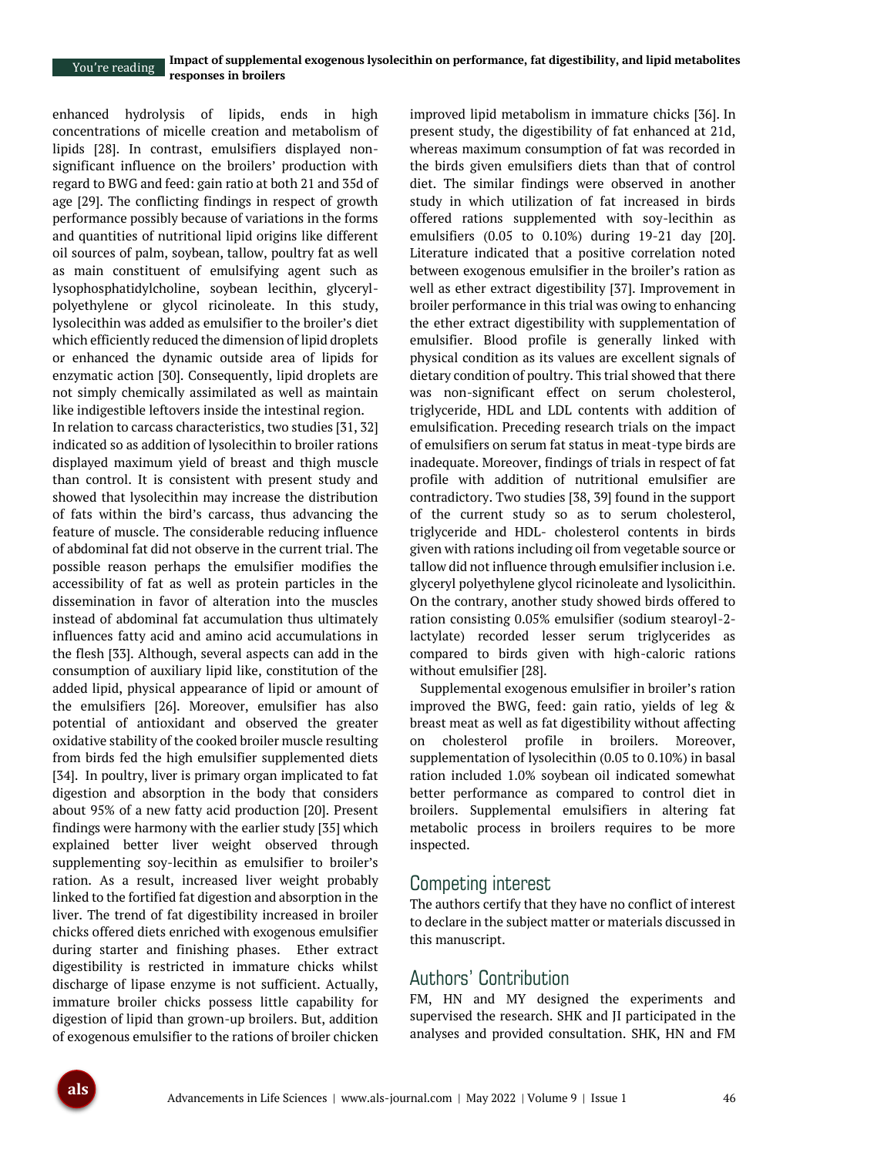enhanced hydrolysis of lipids, ends in high concentrations of micelle creation and metabolism of lipids [28]. In contrast, emulsifiers displayed nonsignificant influence on the broilers' production with regard to BWG and feed: gain ratio at both 21 and 35d of age [29]. The conflicting findings in respect of growth performance possibly because of variations in the forms and quantities of nutritional lipid origins like different oil sources of palm, soybean, tallow, poultry fat as well as main constituent of emulsifying agent such as lysophosphatidylcholine, soybean lecithin, glycerylpolyethylene or glycol ricinoleate. In this study, lysolecithin was added as emulsifier to the broiler's diet which efficiently reduced the dimension of lipid droplets or enhanced the dynamic outside area of lipids for enzymatic action [30]. Consequently, lipid droplets are not simply chemically assimilated as well as maintain like indigestible leftovers inside the intestinal region.

In relation to carcass characteristics, two studies [31, 32] indicated so as addition of lysolecithin to broiler rations displayed maximum yield of breast and thigh muscle than control. It is consistent with present study and showed that lysolecithin may increase the distribution of fats within the bird's carcass, thus advancing the feature of muscle. The considerable reducing influence of abdominal fat did not observe in the current trial. The possible reason perhaps the emulsifier modifies the accessibility of fat as well as protein particles in the dissemination in favor of alteration into the muscles instead of abdominal fat accumulation thus ultimately influences fatty acid and amino acid accumulations in the flesh [33]. Although, several aspects can add in the consumption of auxiliary lipid like, constitution of the added lipid, physical appearance of lipid or amount of the emulsifiers [26]. Moreover, emulsifier has also potential of antioxidant and observed the greater oxidative stability of the cooked broiler muscle resulting from birds fed the high emulsifier supplemented diets [34]. In poultry, liver is primary organ implicated to fat digestion and absorption in the body that considers about 95% of a new fatty acid production [20]. Present findings were harmony with the earlier study [35] which explained better liver weight observed through supplementing soy-lecithin as emulsifier to broiler's ration. As a result, increased liver weight probably linked to the fortified fat digestion and absorption in the liver. The trend of fat digestibility increased in broiler chicks offered diets enriched with exogenous emulsifier during starter and finishing phases. Ether extract digestibility is restricted in immature chicks whilst discharge of lipase enzyme is not sufficient. Actually, immature broiler chicks possess little capability for digestion of lipid than grown-up broilers. But, addition of exogenous emulsifier to the rations of broiler chicken

improved lipid metabolism in immature chicks [36]. In present study, the digestibility of fat enhanced at 21d, whereas maximum consumption of fat was recorded in the birds given emulsifiers diets than that of control diet. The similar findings were observed in another study in which utilization of fat increased in birds offered rations supplemented with soy-lecithin as emulsifiers (0.05 to 0.10%) during 19-21 day [20]. Literature indicated that a positive correlation noted between exogenous emulsifier in the broiler's ration as well as ether extract digestibility [37]. Improvement in broiler performance in this trial was owing to enhancing the ether extract digestibility with supplementation of emulsifier. Blood profile is generally linked with physical condition as its values are excellent signals of dietary condition of poultry. This trial showed that there was non-significant effect on serum cholesterol, triglyceride, HDL and LDL contents with addition of emulsification. Preceding research trials on the impact of emulsifiers on serum fat status in meat-type birds are inadequate. Moreover, findings of trials in respect of fat profile with addition of nutritional emulsifier are contradictory. Two studies [38, 39] found in the support of the current study so as to serum cholesterol, triglyceride and HDL- cholesterol contents in birds given with rations including oil from vegetable source or tallow did not influence through emulsifier inclusion i.e. glyceryl polyethylene glycol ricinoleate and lysolicithin. On the contrary, another study showed birds offered to ration consisting 0.05% emulsifier (sodium stearoyl-2 lactylate) recorded lesser serum triglycerides as compared to birds given with high-caloric rations without emulsifier [28].

Supplemental exogenous emulsifier in broiler's ration improved the BWG, feed: gain ratio, yields of leg & breast meat as well as fat digestibility without affecting on cholesterol profile in broilers. Moreover, supplementation of lysolecithin (0.05 to 0.10%) in basal ration included 1.0% soybean oil indicated somewhat better performance as compared to control diet in broilers. Supplemental emulsifiers in altering fat metabolic process in broilers requires to be more inspected.

## Competing interest

The authors certify that they have no conflict of interest to declare in the subject matter or materials discussed in this manuscript.

# Authors' Contribution

FM, HN and MY designed the experiments and supervised the research. SHK and JI participated in the analyses and provided consultation. SHK, HN and FM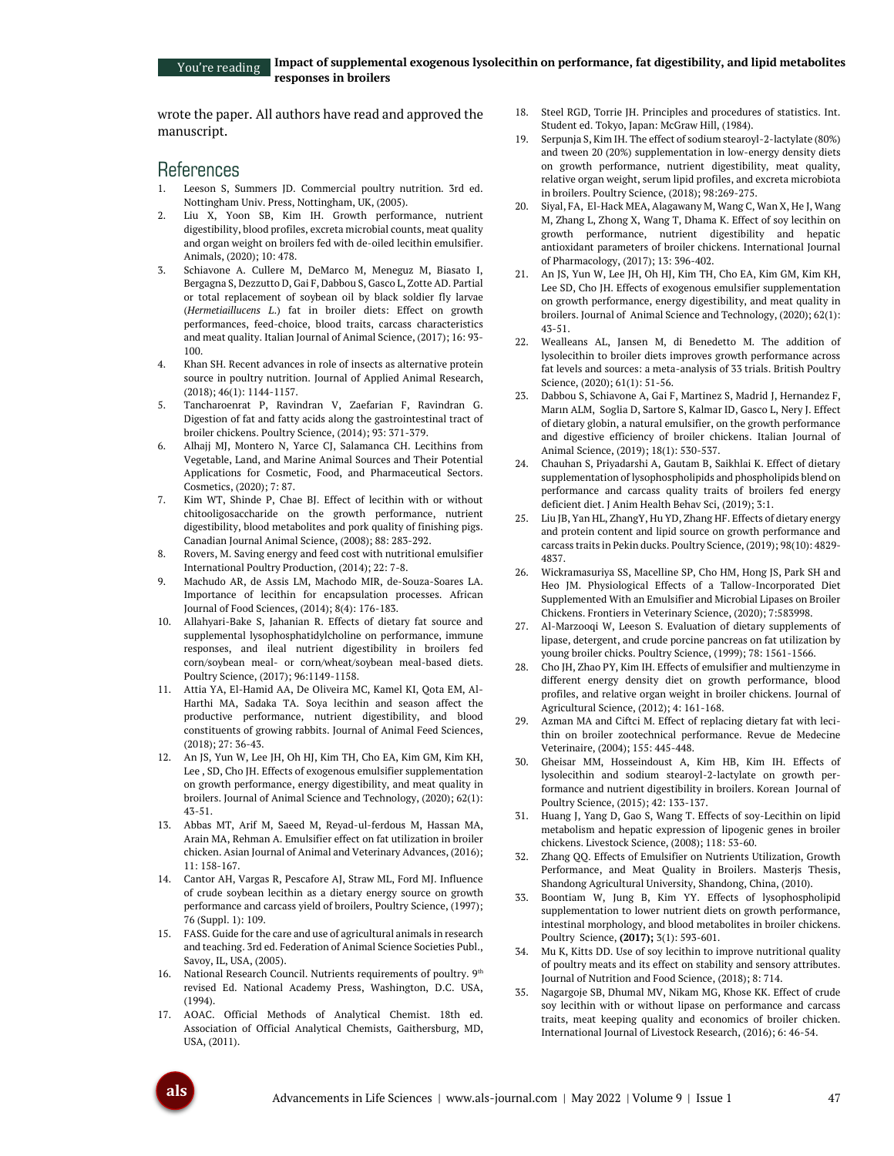wrote the paper. All authors have read and approved the manuscript.

## References

- 1. Leeson S, Summers JD. Commercial poultry nutrition. 3rd ed. Nottingham Univ. Press, Nottingham, UK, (2005).
- 2. Liu X, Yoon SB, Kim IH. Growth performance, nutrient digestibility, blood profiles, excreta microbial counts, meat quality and organ weight on broilers fed with de-oiled lecithin emulsifier. Animals, (2020); 10: 478.
- 3. Schiavone A. Cullere M, DeMarco M, Meneguz M, Biasato I, Bergagna S, Dezzutto D, Gai F, Dabbou S, Gasco L, Zotte AD. Partial or total replacement of soybean oil by black soldier fly larvae (*Hermetiaillucens L*.) fat in broiler diets: Effect on growth performances, feed-choice, blood traits, carcass characteristics and meat quality. Italian Journal of Animal Science, (2017); 16: 93- 100.
- 4. Khan SH. Recent advances in role of insects as alternative protein source in poultry nutrition. Journal of Applied Animal Research, (2018); 46(1): 1144-1157.
- 5. Tancharoenrat P, Ravindran V, Zaefarian F, Ravindran G. Digestion of fat and fatty acids along the gastrointestinal tract of broiler chickens. Poultry Science, (2014); 93: 371-379.
- 6. Alhajj MJ, Montero N, Yarce CJ, Salamanca CH. Lecithins from Vegetable, Land, and Marine Animal Sources and Their Potential Applications for Cosmetic, Food, and Pharmaceutical Sectors. Cosmetics,  $(2020) \cdot 7 \cdot 87$ .
- 7. Kim WT, Shinde P, Chae BJ. Effect of lecithin with or without chitooligosaccharide on the growth performance, nutrient digestibility, blood metabolites and pork quality of finishing pigs. Canadian Journal Animal Science, (2008); 88: 283-292.
- 8. Rovers, M. Saving energy and feed cost with nutritional emulsifier International Poultry Production, (2014); 22: 7-8.
- 9. Machudo AR, de Assis LM, Machodo MIR, de-Souza-Soares LA. Importance of lecithin for encapsulation processes. African Journal of Food Sciences, (2014); 8(4): 176-183.
- 10. Allahyari-Bake S, Jahanian R. Effects of dietary fat source and supplemental lysophosphatidylcholine on performance, immune responses, and ileal nutrient digestibility in broilers fed corn/soybean meal- or corn/wheat/soybean meal-based diets. Poultry Science, (2017); 96:1149-1158.
- 11. Attia YA, El-Hamid AA, De Oliveira MC, Kamel KI, Qota EM, Al-Harthi MA, Sadaka TA. Soya lecithin and season affect the productive performance, nutrient digestibility, and blood constituents of growing rabbits. Journal of Animal Feed Sciences, (2018); 27: 36-43.
- 12. An JS, Yun W, Lee JH, Oh HJ, Kim TH, Cho EA, Kim GM, Kim KH, Lee , SD, Cho JH. Effects of exogenous emulsifier supplementation on growth performance, energy digestibility, and meat quality in broilers. Journal of Animal Science and Technology, (2020); 62(1): 43-51.
- 13. Abbas MT, Arif M, Saeed M, Reyad-ul-ferdous M, Hassan MA, Arain MA, Rehman A. Emulsifier effect on fat utilization in broiler chicken. Asian Journal of Animal and Veterinary Advances, (2016); 11: 158-167.
- 14. Cantor AH, Vargas R, Pescafore AJ, Straw ML, Ford MJ. Influence of crude soybean lecithin as a dietary energy source on growth performance and carcass yield of broilers, Poultry Science, (1997); 76 (Suppl. 1): 109.
- 15. FASS. Guide for the care and use of agricultural animals in research and teaching. 3rd ed. Federation of Animal Science Societies Publ., Savoy, IL, USA, (2005).
- 16. National Research Council. Nutrients requirements of poultry. 9<sup>th</sup> revised Ed. National Academy Press, Washington, D.C. USA, (1994).
- 17. AOAC. Official Methods of Analytical Chemist. 18th ed. Association of Official Analytical Chemists, Gaithersburg, MD, USA, (2011).
- 18. Steel RGD, Torrie JH. Principles and procedures of statistics. Int. Student ed. Tokyo, Japan: McGraw Hill, (1984).
- 19. Serpunja S, Kim IH. The effect of sodium stearoyl-2-lactylate (80%) and tween 20 (20%) supplementation in low-energy density diets on growth performance, nutrient digestibility, meat quality, relative organ weight, serum lipid profiles, and excreta microbiota in broilers. Poultry Science, (2018); 98:269-275.
- 20. Siyal, FA, El-Hack MEA, Alagawany M, Wang C, Wan X, He J, Wang M, Zhang L, Zhong X, Wang T, Dhama K. Effect of soy lecithin on growth performance, nutrient digestibility and hepatic antioxidant parameters of broiler chickens. International Journal of Pharmacology, (2017); 13: 396-402.
- 21. An JS, Yun W, Lee JH, Oh HJ, Kim TH, Cho EA, Kim GM, Kim KH, Lee SD, Cho JH. Effects of exogenous emulsifier supplementation on growth performance, energy digestibility, and meat quality in broilers. Journal of Animal Science and Technology, (2020); 62(1): 43-51.
- 22. Wealleans AL, Jansen M, di Benedetto M. The addition of lysolecithin to broiler diets improves growth performance across fat levels and sources: a meta-analysis of 33 trials. British Poultry Science, (2020); 61(1): 51-56.
- 23. Dabbou S, Schiavone A, Gai F, Martinez S, Madrid J, Hernandez F, Marın ALM, Soglia D, Sartore S, Kalmar ID, Gasco L, Nery J. Effect of dietary globin, a natural emulsifier, on the growth performance and digestive efficiency of broiler chickens. Italian Journal of Animal Science, (2019); 18(1): 530-537.
- 24. Chauhan S, Priyadarshi A, Gautam B, Saikhlai K. Effect of dietary supplementation of lysophospholipids and phospholipids blend on performance and carcass quality traits of broilers fed energy deficient diet. J Anim Health Behav Sci, (2019); 3:1.
- 25. Liu JB, Yan HL, ZhangY, Hu YD, Zhang HF. Effects of dietary energy and protein content and lipid source on growth performance and carcass traits in Pekin ducks. Poultry Science, (2019); 98(10): 4829- 4837.
- 26. Wickramasuriya SS, Macelline SP, Cho HM, Hong JS, Park SH and Heo JM. Physiological Effects of a Tallow-Incorporated Diet Supplemented With an Emulsifier and Microbial Lipases on Broiler Chickens. Frontiers in Veterinary Science, (2020); 7:583998.
- 27. Al-Marzooqi W, Leeson S. Evaluation of dietary supplements of lipase, detergent, and crude porcine pancreas on fat utilization by young broiler chicks. Poultry Science, (1999); 78: 1561-1566.
- 28. Cho JH, Zhao PY, Kim IH. Effects of emulsifier and multienzyme in different energy density diet on growth performance, blood profiles, and relative organ weight in broiler chickens. Journal of Agricultural Science, (2012); 4: 161-168.
- Azman MA and Ciftci M. Effect of replacing dietary fat with lecithin on broiler zootechnical performance. Revue de Medecine Veterinaire, (2004); 155: 445-448.
- 30. Gheisar MM, Hosseindoust A, Kim HB, Kim IH. Effects of lysolecithin and sodium stearoyl-2-lactylate on growth performance and nutrient digestibility in broilers. Korean Journal of Poultry Science, (2015); 42: 133-137.
- Huang J, Yang D, Gao S, Wang T. Effects of soy-Lecithin on lipid metabolism and hepatic expression of lipogenic genes in broiler chickens. Livestock Science, (2008); 118: 53-60.
- 32. Zhang QQ. Effects of Emulsifier on Nutrients Utilization, Growth Performance, and Meat Quality in Broilers. Masterjs Thesis, Shandong Agricultural University, Shandong, China, (2010).
- 33. Boontiam W, Jung B, Kim YY. Effects of lysophospholipid supplementation to lower nutrient diets on growth performance, intestinal morphology, and blood metabolites in broiler chickens. Poultry Science, **(2017);** 3(1): 593-601.
- 34. Mu K, Kitts DD. Use of soy lecithin to improve nutritional quality of poultry meats and its effect on stability and sensory attributes. Journal of Nutrition and Food Science, (2018); 8: 714.
- 35. Nagargoje SB, Dhumal MV, Nikam MG, Khose KK. Effect of crude soy lecithin with or without lipase on performance and carcass traits, meat keeping quality and economics of broiler chicken. International Journal of Livestock Research, (2016); 6: 46-54.